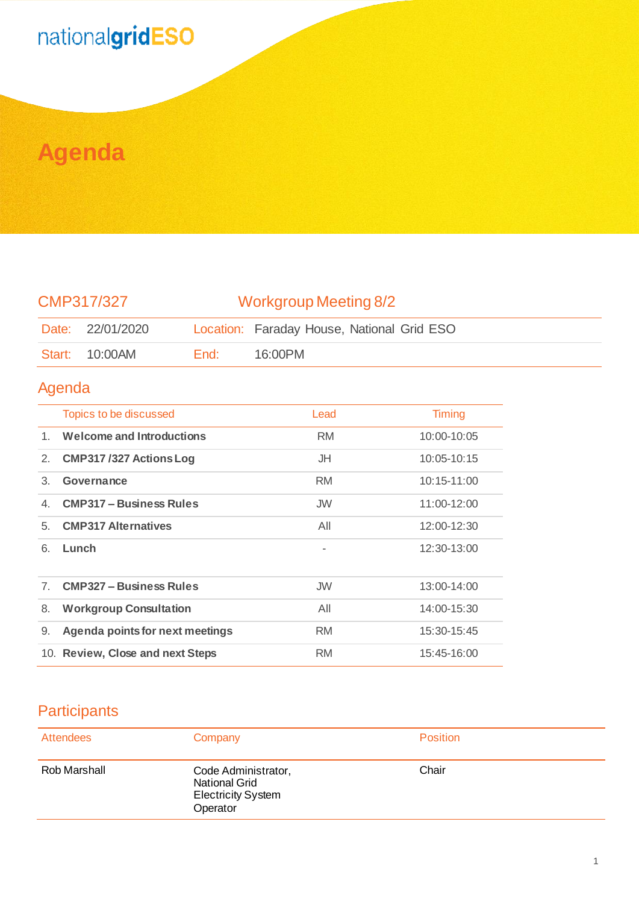## nationalgridESO

## **Agenda**

| CMP317/327                                         |                                        | <b>Workgroup Meeting 8/2</b> |                                            |               |
|----------------------------------------------------|----------------------------------------|------------------------------|--------------------------------------------|---------------|
| Date:                                              | 22/01/2020                             |                              | Location: Faraday House, National Grid ESO |               |
| Start:                                             | 10:00AM                                | End:                         | 16:00PM                                    |               |
| Agenda                                             |                                        |                              |                                            |               |
|                                                    | Topics to be discussed                 |                              | Lead                                       | <b>Timing</b> |
| <b>Welcome and Introductions</b><br>1 <sub>1</sub> |                                        | <b>RM</b>                    | 10:00-10:05                                |               |
| 2.                                                 | <b>CMP317/327 Actions Log</b>          |                              | JH                                         | 10:05-10:15   |
| 3.                                                 | Governance                             |                              | <b>RM</b>                                  | 10:15-11:00   |
| 4.                                                 | <b>CMP317 - Business Rules</b>         |                              | <b>JW</b>                                  | 11:00-12:00   |
| 5.                                                 | <b>CMP317 Alternatives</b>             |                              | All                                        | 12:00-12:30   |
| 6.                                                 | Lunch                                  |                              | $\overline{\phantom{a}}$                   | 12:30-13:00   |
| 7 <sub>1</sub>                                     | <b>CMP327 - Business Rules</b>         |                              | <b>JW</b>                                  | 13:00-14:00   |
| 8.                                                 | <b>Workgroup Consultation</b>          |                              | All                                        | 14:00-15:30   |
| 9.                                                 | <b>Agenda points for next meetings</b> |                              | <b>RM</b>                                  | 15:30-15:45   |
|                                                    | 10. Review, Close and next Steps       |                              | <b>RM</b>                                  | 15:45-16:00   |

## **Participants**

| <b>Attendees</b> | Company                                                                              | <b>Position</b> |
|------------------|--------------------------------------------------------------------------------------|-----------------|
| Rob Marshall     | Code Administrator,<br><b>National Grid</b><br><b>Electricity System</b><br>Operator | Chair           |